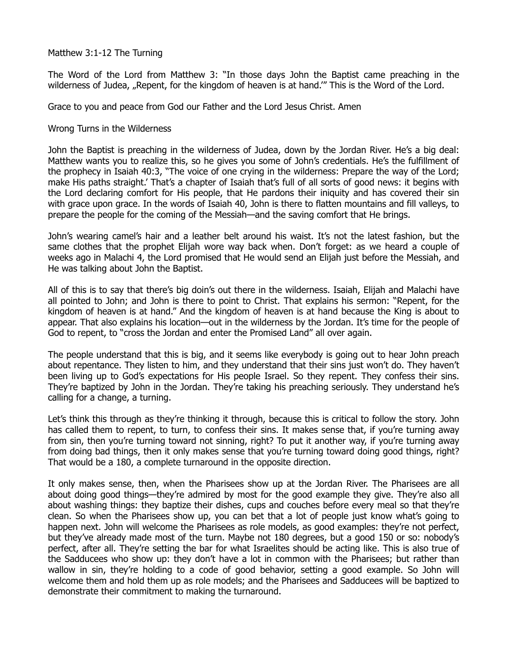Matthew 3:1-12 The Turning

The Word of the Lord from Matthew 3: "In those days John the Baptist came preaching in the wilderness of Judea, "Repent, for the kingdom of heaven is at hand." This is the Word of the Lord.

Grace to you and peace from God our Father and the Lord Jesus Christ. Amen

Wrong Turns in the Wilderness

John the Baptist is preaching in the wilderness of Judea, down by the Jordan River. He's a big deal: Matthew wants you to realize this, so he gives you some of John's credentials. He's the fulfillment of the prophecy in Isaiah 40:3, "The voice of one crying in the wilderness: Prepare the way of the Lord; make His paths straight.' That's a chapter of Isaiah that's full of all sorts of good news: it begins with the Lord declaring comfort for His people, that He pardons their iniquity and has covered their sin with grace upon grace. In the words of Isaiah 40, John is there to flatten mountains and fill valleys, to prepare the people for the coming of the Messiah—and the saving comfort that He brings.

John's wearing camel's hair and a leather belt around his waist. It's not the latest fashion, but the same clothes that the prophet Elijah wore way back when. Don't forget: as we heard a couple of weeks ago in Malachi 4, the Lord promised that He would send an Elijah just before the Messiah, and He was talking about John the Baptist.

All of this is to say that there's big doin's out there in the wilderness. Isaiah, Elijah and Malachi have all pointed to John; and John is there to point to Christ. That explains his sermon: "Repent, for the kingdom of heaven is at hand." And the kingdom of heaven is at hand because the King is about to appear. That also explains his location—out in the wilderness by the Jordan. It's time for the people of God to repent, to "cross the Jordan and enter the Promised Land" all over again.

The people understand that this is big, and it seems like everybody is going out to hear John preach about repentance. They listen to him, and they understand that their sins just won't do. They haven't been living up to God's expectations for His people Israel. So they repent. They confess their sins. They're baptized by John in the Jordan. They're taking his preaching seriously. They understand he's calling for a change, a turning.

Let's think this through as they're thinking it through, because this is critical to follow the story. John has called them to repent, to turn, to confess their sins. It makes sense that, if you're turning away from sin, then you're turning toward not sinning, right? To put it another way, if you're turning away from doing bad things, then it only makes sense that you're turning toward doing good things, right? That would be a 180, a complete turnaround in the opposite direction.

It only makes sense, then, when the Pharisees show up at the Jordan River. The Pharisees are all about doing good things—they're admired by most for the good example they give. They're also all about washing things: they baptize their dishes, cups and couches before every meal so that they're clean. So when the Pharisees show up, you can bet that a lot of people just know what's going to happen next. John will welcome the Pharisees as role models, as good examples: they're not perfect, but they've already made most of the turn. Maybe not 180 degrees, but a good 150 or so: nobody's perfect, after all. They're setting the bar for what Israelites should be acting like. This is also true of the Sadducees who show up: they don't have a lot in common with the Pharisees; but rather than wallow in sin, they're holding to a code of good behavior, setting a good example. So John will welcome them and hold them up as role models; and the Pharisees and Sadducees will be baptized to demonstrate their commitment to making the turnaround.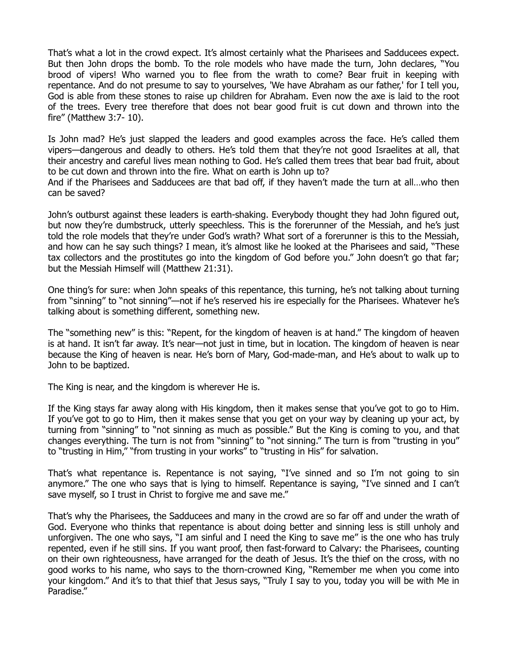That's what a lot in the crowd expect. It's almost certainly what the Pharisees and Sadducees expect. But then John drops the bomb. To the role models who have made the turn, John declares, "You brood of vipers! Who warned you to flee from the wrath to come? Bear fruit in keeping with repentance. And do not presume to say to yourselves, 'We have Abraham as our father,' for I tell you, God is able from these stones to raise up children for Abraham. Even now the axe is laid to the root of the trees. Every tree therefore that does not bear good fruit is cut down and thrown into the fire" (Matthew 3:7- 10).

Is John mad? He's just slapped the leaders and good examples across the face. He's called them vipers—dangerous and deadly to others. He's told them that they're not good Israelites at all, that their ancestry and careful lives mean nothing to God. He's called them trees that bear bad fruit, about to be cut down and thrown into the fire. What on earth is John up to?

And if the Pharisees and Sadducees are that bad off, if they haven't made the turn at all…who then can be saved?

John's outburst against these leaders is earth-shaking. Everybody thought they had John figured out, but now they're dumbstruck, utterly speechless. This is the forerunner of the Messiah, and he's just told the role models that they're under God's wrath? What sort of a forerunner is this to the Messiah, and how can he say such things? I mean, it's almost like he looked at the Pharisees and said, "These tax collectors and the prostitutes go into the kingdom of God before you." John doesn't go that far; but the Messiah Himself will (Matthew 21:31).

One thing's for sure: when John speaks of this repentance, this turning, he's not talking about turning from "sinning" to "not sinning"—not if he's reserved his ire especially for the Pharisees. Whatever he's talking about is something different, something new.

The "something new" is this: "Repent, for the kingdom of heaven is at hand." The kingdom of heaven is at hand. It isn't far away. It's near—not just in time, but in location. The kingdom of heaven is near because the King of heaven is near. He's born of Mary, God-made-man, and He's about to walk up to John to be baptized.

The King is near, and the kingdom is wherever He is.

If the King stays far away along with His kingdom, then it makes sense that you've got to go to Him. If you've got to go to Him, then it makes sense that you get on your way by cleaning up your act, by turning from "sinning" to "not sinning as much as possible." But the King is coming to you, and that changes everything. The turn is not from "sinning" to "not sinning." The turn is from "trusting in you" to "trusting in Him," "from trusting in your works" to "trusting in His" for salvation.

That's what repentance is. Repentance is not saying, "I've sinned and so I'm not going to sin anymore." The one who says that is lying to himself. Repentance is saying, "I've sinned and I can't save myself, so I trust in Christ to forgive me and save me."

That's why the Pharisees, the Sadducees and many in the crowd are so far off and under the wrath of God. Everyone who thinks that repentance is about doing better and sinning less is still unholy and unforgiven. The one who says, "I am sinful and I need the King to save me" is the one who has truly repented, even if he still sins. If you want proof, then fast-forward to Calvary: the Pharisees, counting on their own righteousness, have arranged for the death of Jesus. It's the thief on the cross, with no good works to his name, who says to the thorn-crowned King, "Remember me when you come into your kingdom." And it's to that thief that Jesus says, "Truly I say to you, today you will be with Me in Paradise."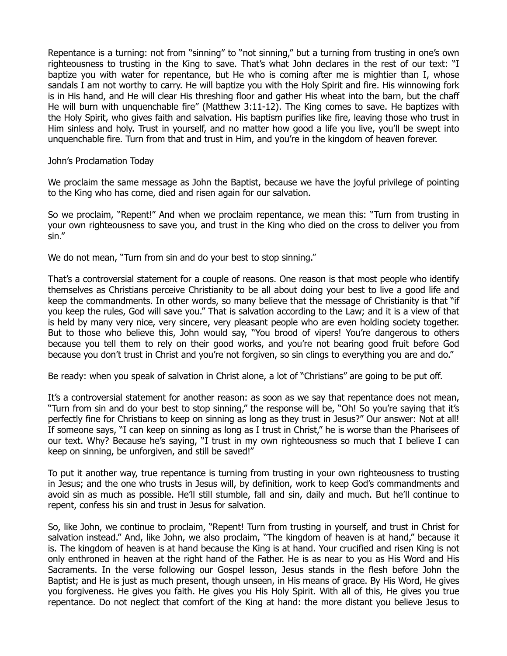Repentance is a turning: not from "sinning" to "not sinning," but a turning from trusting in one's own righteousness to trusting in the King to save. That's what John declares in the rest of our text: "I baptize you with water for repentance, but He who is coming after me is mightier than I, whose sandals I am not worthy to carry. He will baptize you with the Holy Spirit and fire. His winnowing fork is in His hand, and He will clear His threshing floor and gather His wheat into the barn, but the chaff He will burn with unquenchable fire" (Matthew 3:11-12). The King comes to save. He baptizes with the Holy Spirit, who gives faith and salvation. His baptism purifies like fire, leaving those who trust in Him sinless and holy. Trust in yourself, and no matter how good a life you live, you'll be swept into unquenchable fire. Turn from that and trust in Him, and you're in the kingdom of heaven forever.

John's Proclamation Today

We proclaim the same message as John the Baptist, because we have the joyful privilege of pointing to the King who has come, died and risen again for our salvation.

So we proclaim, "Repent!" And when we proclaim repentance, we mean this: "Turn from trusting in your own righteousness to save you, and trust in the King who died on the cross to deliver you from sin."

We do not mean, "Turn from sin and do your best to stop sinning."

That's a controversial statement for a couple of reasons. One reason is that most people who identify themselves as Christians perceive Christianity to be all about doing your best to live a good life and keep the commandments. In other words, so many believe that the message of Christianity is that "if you keep the rules, God will save you." That is salvation according to the Law; and it is a view of that is held by many very nice, very sincere, very pleasant people who are even holding society together. But to those who believe this, John would say, "You brood of vipers! You're dangerous to others because you tell them to rely on their good works, and you're not bearing good fruit before God because you don't trust in Christ and you're not forgiven, so sin clings to everything you are and do."

Be ready: when you speak of salvation in Christ alone, a lot of "Christians" are going to be put off.

It's a controversial statement for another reason: as soon as we say that repentance does not mean, "Turn from sin and do your best to stop sinning," the response will be, "Oh! So you're saying that it's perfectly fine for Christians to keep on sinning as long as they trust in Jesus?" Our answer: Not at all! If someone says, "I can keep on sinning as long as I trust in Christ," he is worse than the Pharisees of our text. Why? Because he's saying, "I trust in my own righteousness so much that I believe I can keep on sinning, be unforgiven, and still be saved!"

To put it another way, true repentance is turning from trusting in your own righteousness to trusting in Jesus; and the one who trusts in Jesus will, by definition, work to keep God's commandments and avoid sin as much as possible. He'll still stumble, fall and sin, daily and much. But he'll continue to repent, confess his sin and trust in Jesus for salvation.

So, like John, we continue to proclaim, "Repent! Turn from trusting in yourself, and trust in Christ for salvation instead." And, like John, we also proclaim, "The kingdom of heaven is at hand," because it is. The kingdom of heaven is at hand because the King is at hand. Your crucified and risen King is not only enthroned in heaven at the right hand of the Father. He is as near to you as His Word and His Sacraments. In the verse following our Gospel lesson, Jesus stands in the flesh before John the Baptist; and He is just as much present, though unseen, in His means of grace. By His Word, He gives you forgiveness. He gives you faith. He gives you His Holy Spirit. With all of this, He gives you true repentance. Do not neglect that comfort of the King at hand: the more distant you believe Jesus to